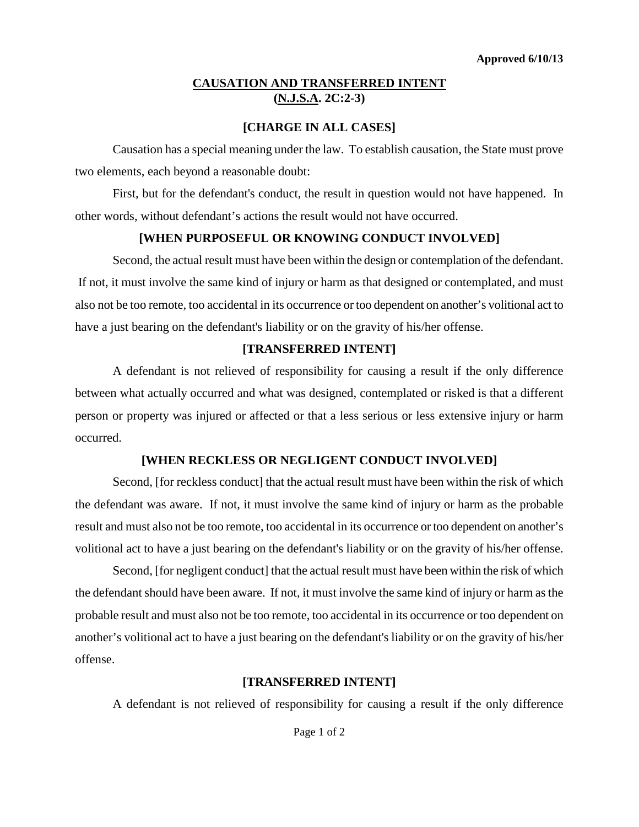# **CAUSATION AND TRANSFERRED INTENT (N.J.S.A. 2C:2-3)**

## **[CHARGE IN ALL CASES]**

Causation has a special meaning under the law. To establish causation, the State must prove two elements, each beyond a reasonable doubt:

First, but for the defendant's conduct, the result in question would not have happened. In other words, without defendant's actions the result would not have occurred.

## **[WHEN PURPOSEFUL OR KNOWING CONDUCT INVOLVED]**

Second, the actual result must have been within the design or contemplation of the defendant. If not, it must involve the same kind of injury or harm as that designed or contemplated, and must also not be too remote, too accidental in its occurrence or too dependent on another's volitional act to have a just bearing on the defendant's liability or on the gravity of his/her offense.

## **[TRANSFERRED INTENT]**

A defendant is not relieved of responsibility for causing a result if the only difference between what actually occurred and what was designed, contemplated or risked is that a different person or property was injured or affected or that a less serious or less extensive injury or harm occurred.

#### **[WHEN RECKLESS OR NEGLIGENT CONDUCT INVOLVED]**

Second, [for reckless conduct] that the actual result must have been within the risk of which the defendant was aware. If not, it must involve the same kind of injury or harm as the probable result and must also not be too remote, too accidental in its occurrence or too dependent on another's volitional act to have a just bearing on the defendant's liability or on the gravity of his/her offense.

Second, [for negligent conduct] that the actual result must have been within the risk of which the defendant should have been aware. If not, it must involve the same kind of injury or harm as the probable result and must also not be too remote, too accidental in its occurrence or too dependent on another's volitional act to have a just bearing on the defendant's liability or on the gravity of his/her offense.

# **[TRANSFERRED INTENT]**

A defendant is not relieved of responsibility for causing a result if the only difference